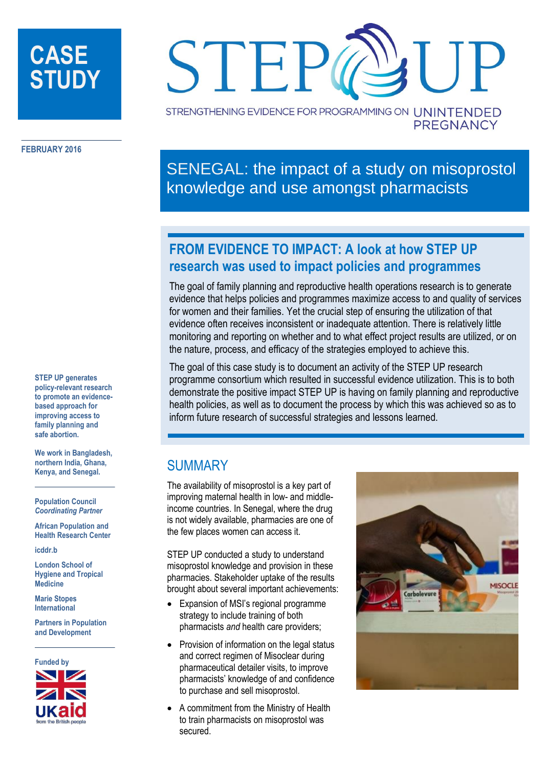# **CASE STUDY**



**FEBRUARY 2016**

**STEP UP generates policy-relevant research to promote an evidencebased approach for improving access to family planning and safe abortion.** 

**We work in Bangladesh, northern India, Ghana, Kenya, and Senegal.**

**Population Council** *Coordinating Partner*

**African Population and Health Research Center**

**icddr.b**

**London School of Hygiene and Tropical Medicine**

**Marie Stopes International**

**Partners in Population and Development**



SENEGAL: the impact of a study on misoprostol knowledge and use amongst pharmacists

# **FROM EVIDENCE TO IMPACT: A look at how STEP UP research was used to impact policies and programmes**

The goal of family planning and reproductive health operations research is to generate evidence that helps policies and programmes maximize access to and quality of services for women and their families. Yet the crucial step of ensuring the utilization of that evidence often receives inconsistent or inadequate attention. There is relatively little monitoring and reporting on whether and to what effect project results are utilized, or on the nature, process, and efficacy of the strategies employed to achieve this.

The goal of this case study is to document an activity of the STEP UP research programme consortium which resulted in successful evidence utilization. This is to both demonstrate the positive impact STEP UP is having on family planning and reproductive health policies, as well as to document the process by which this was achieved so as to inform future research of successful strategies and lessons learned.

### **SUMMARY**

The availability of misoprostol is a key part of improving maternal health in low- and middleincome countries. In Senegal, where the drug is not widely available, pharmacies are one of the few places women can access it.

STEP UP conducted a study to understand misoprostol knowledge and provision in these pharmacies. Stakeholder uptake of the results brought about several important achievements:

- Expansion of MSI's regional programme strategy to include training of both pharmacists *and* health care providers;
- Provision of information on the legal status and correct regimen of Misoclear during pharmaceutical detailer visits, to improve pharmacists' knowledge of and confidence to purchase and sell misoprostol.
- A commitment from the Ministry of Health to train pharmacists on misoprostol was secured.



**PREGNANCY**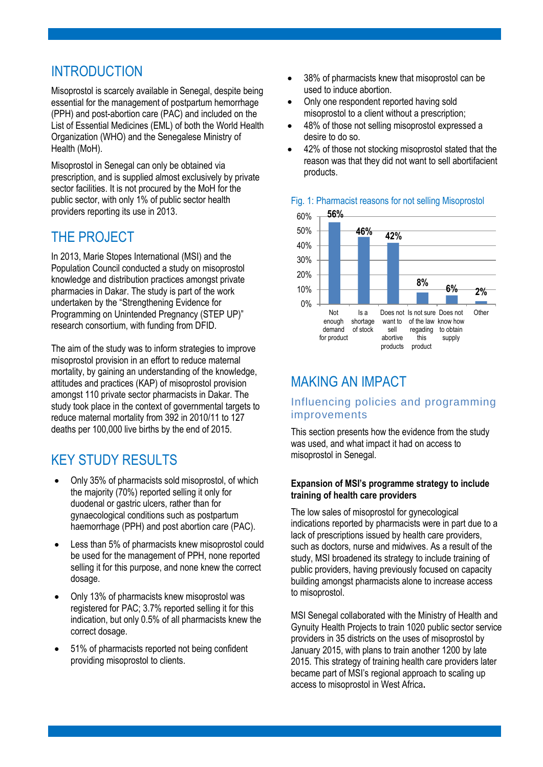# INTRODUCTION

Misoprostol is scarcely available in Senegal, despite being essential for the management of postpartum hemorrhage (PPH) and post-abortion care (PAC) and included on the List of Essential Medicines (EML) of both the World Health Organization (WHO) and the Senegalese Ministry of Health (MoH).

Misoprostol in Senegal can only be obtained via prescription, and is supplied almost exclusively by private sector facilities. It is not procured by the MoH for the public sector, with only 1% of public sector health providers reporting its use in 2013.

### THE PROJECT

In 2013, Marie Stopes International (MSI) and the Population Council conducted a study on misoprostol knowledge and distribution practices amongst private pharmacies in Dakar. The study is part of the work undertaken by the "Strengthening Evidence for Programming on Unintended Pregnancy (STEP UP)" research consortium, with funding from DFID.

The aim of the study was to inform strategies to improve misoprostol provision in an effort to reduce maternal mortality, by gaining an understanding of the knowledge, attitudes and practices (KAP) of misoprostol provision amongst 110 private sector pharmacists in Dakar. The study took place in the context of governmental targets to reduce maternal mortality from 392 in 2010/11 to 127 deaths per 100,000 live births by the end of 2015.

# KEY STUDY RESULTS

- Only 35% of pharmacists sold misoprostol, of which the majority (70%) reported selling it only for duodenal or gastric ulcers, rather than for gynaecological conditions such as postpartum haemorrhage (PPH) and post abortion care (PAC).
- Less than 5% of pharmacists knew misoprostol could be used for the management of PPH, none reported selling it for this purpose, and none knew the correct dosage.
- Only 13% of pharmacists knew misoprostol was registered for PAC; 3.7% reported selling it for this indication, but only 0.5% of all pharmacists knew the correct dosage.
- 51% of pharmacists reported not being confident providing misoprostol to clients.
- 38% of pharmacists knew that misoprostol can be used to induce abortion.
- Only one respondent reported having sold misoprostol to a client without a prescription;
- 48% of those not selling misoprostol expressed a desire to do so.
- 42% of those not stocking misoprostol stated that the reason was that they did not want to sell abortifacient products.



### Fig. 1: Pharmacist reasons for not selling Misoprostol

### MAKING AN IMPACT

### Influencing policies and programming improvements

This section presents how the evidence from the study was used, and what impact it had on access to misoprostol in Senegal.

#### **Expansion of MSI's programme strategy to include training of health care providers**

The low sales of misoprostol for gynecological indications reported by pharmacists were in part due to a lack of prescriptions issued by health care providers, such as doctors, nurse and midwives. As a result of the study, MSI broadened its strategy to include training of public providers, having previously focused on capacity building amongst pharmacists alone to increase access to misoprostol.

MSI Senegal collaborated with the Ministry of Health and Gynuity Health Projects to train 1020 public sector service providers in 35 districts on the uses of misoprostol by January 2015, with plans to train another 1200 by late 2015. This strategy of training health care providers later became part of MSI's regional approach to scaling up access to misoprostol in West Africa**.**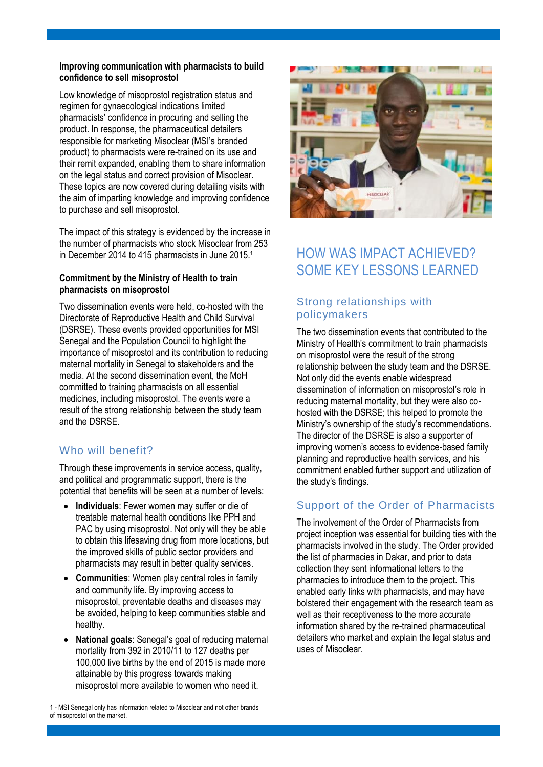#### **Improving communication with pharmacists to build confidence to sell misoprostol**

Low knowledge of misoprostol registration status and regimen for gynaecological indications limited pharmacists' confidence in procuring and selling the product. In response, the pharmaceutical detailers responsible for marketing Misoclear (MSI's branded product) to pharmacists were re-trained on its use and their remit expanded, enabling them to share information on the legal status and correct provision of Misoclear. These topics are now covered during detailing visits with the aim of imparting knowledge and improving confidence to purchase and sell misoprostol.

The impact of this strategy is evidenced by the increase in the number of pharmacists who stock Misoclear from 253 in December 2014 to 415 pharmacists in June 2015.<sup>1</sup>

#### **Commitment by the Ministry of Health to train pharmacists on misoprostol**

Two dissemination events were held, co-hosted with the Directorate of Reproductive Health and Child Survival (DSRSE). These events provided opportunities for MSI Senegal and the Population Council to highlight the importance of misoprostol and its contribution to reducing maternal mortality in Senegal to stakeholders and the media. At the second dissemination event, the MoH committed to training pharmacists on all essential medicines, including misoprostol. The events were a result of the strong relationship between the study team and the DSRSE.

### Who will benefit?

Through these improvements in service access, quality, and political and programmatic support, there is the potential that benefits will be seen at a number of levels:

- **Individuals**: Fewer women may suffer or die of treatable maternal health conditions like PPH and PAC by using misoprostol. Not only will they be able to obtain this lifesaving drug from more locations, but the improved skills of public sector providers and pharmacists may result in better quality services.
- **Communities**: Women play central roles in family and community life. By improving access to misoprostol, preventable deaths and diseases may be avoided, helping to keep communities stable and healthy.
- **National goals**: Senegal's goal of reducing maternal mortality from 392 in 2010/11 to 127 deaths per 100,000 live births by the end of 2015 is made more attainable by this progress towards making misoprostol more available to women who need it.

1 - MSI Senegal only has information related to Misoclear and not other brands of misoprostol on the market.



## HOW WAS IMPACT ACHIEVED? SOME KEY LESSONS LEARNED

### Strong relationships with policymakers

The two dissemination events that contributed to the Ministry of Health's commitment to train pharmacists on misoprostol were the result of the strong relationship between the study team and the DSRSE. Not only did the events enable widespread dissemination of information on misoprostol's role in reducing maternal mortality, but they were also cohosted with the DSRSE; this helped to promote the Ministry's ownership of the study's recommendations. The director of the DSRSE is also a supporter of improving women's access to evidence-based family planning and reproductive health services, and his commitment enabled further support and utilization of the study's findings.

### Support of the Order of Pharmacists

The involvement of the Order of Pharmacists from project inception was essential for building ties with the pharmacists involved in the study. The Order provided the list of pharmacies in Dakar, and prior to data collection they sent informational letters to the pharmacies to introduce them to the project. This enabled early links with pharmacists, and may have bolstered their engagement with the research team as well as their receptiveness to the more accurate information shared by the re-trained pharmaceutical detailers who market and explain the legal status and uses of Misoclear.